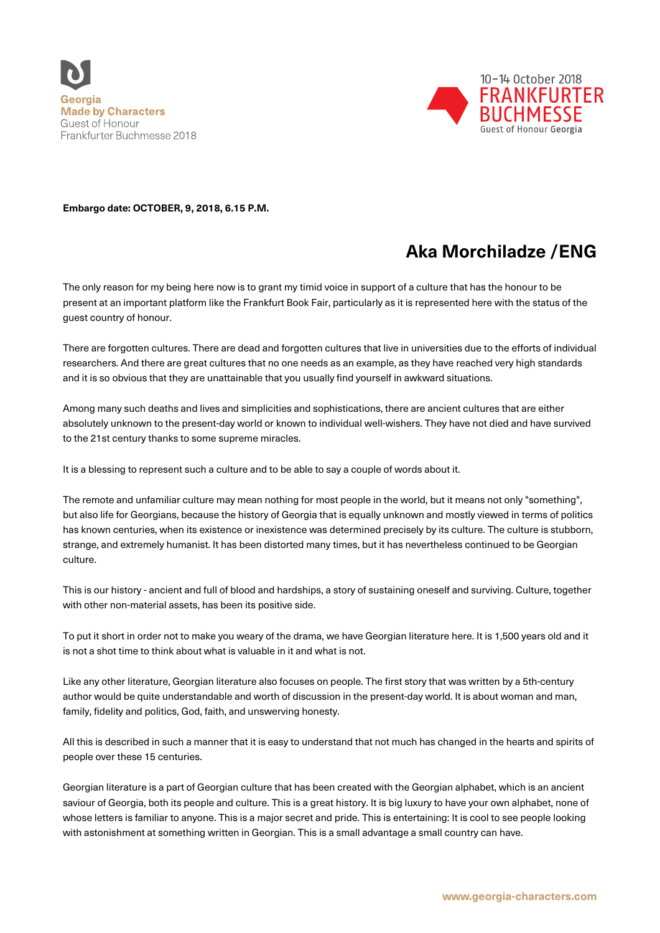



**Embargo date: OCTOBER, 9, 2018, 6.15 P.M.** 

## **Aka Morchiladze /ENG**

The only reason for my being here now is to grant my timid voice in support of a culture that has the honour to be present at an important platform like the Frankfurt Book Fair, particularly as it is represented here with the status of the guest country of honour.

There are forgotten cultures. There are dead and forgotten cultures that live in universities due to the efforts of individual researchers. And there are great cultures that no one needs as an example, as they have reached very high standards and it is so obvious that they are unattainable that you usually find yourself in awkward situations.

Among many such deaths and lives and simplicities and sophistications, there are ancient cultures that are either absolutely unknown to the present-day world or known to individual well-wishers. They have not died and have survived to the 21st century thanks to some supreme miracles.

It is a blessing to represent such a culture and to be able to say a couple of words about it.

The remote and unfamiliar culture may mean nothing for most people in the world, but it means not only "something", but also life for Georgians, because the history of Georgia that is equally unknown and mostly viewed in terms of politics has known centuries, when its existence or inexistence was determined precisely by its culture. The culture is stubborn, strange, and extremely humanist. It has been distorted many times, but it has nevertheless continued to be Georgian culture.

This is our history - ancient and full of blood and hardships, a story of sustaining oneself and surviving. Culture, together with other non-material assets, has been its positive side.

To put it short in order not to make you weary of the drama, we have Georgian literature here. It is 1,500 years old and it is not a shot time to think about what is valuable in it and what is not.

Like any other literature, Georgian literature also focuses on people. The first story that was written by a 5th-century author would be quite understandable and worth of discussion in the present-day world. It is about woman and man, family, fidelity and politics, God, faith, and unswerving honesty.

All this is described in such a manner that it is easy to understand that not much has changed in the hearts and spirits of people over these 15 centuries.

Georgian literature is a part of Georgian culture that has been created with the Georgian alphabet, which is an ancient saviour of Georgia, both its people and culture. This is a great history, It is big luxury to have your own alphabet, none of whose letters is familiar to anyone. This is a major secret and pride. This is entertaining: It is cool to see people looking with astonishment at something written in Georgian. This is a small advantage a small country can have.